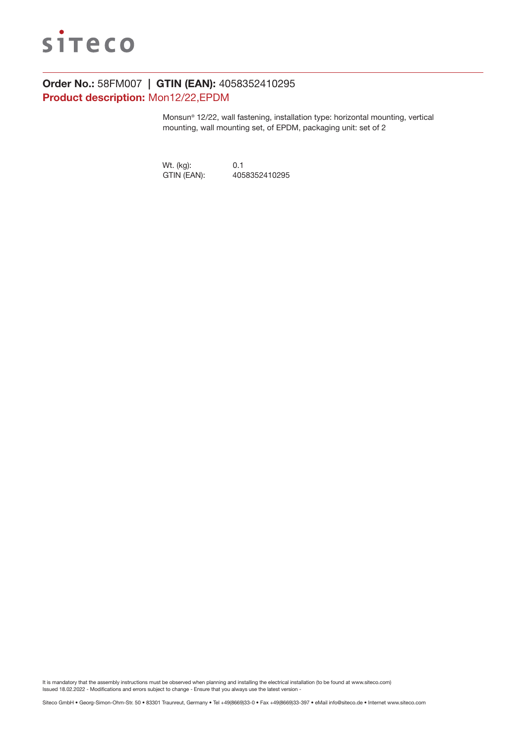

# Order No.: 58FM007 | GTIN (EAN): 4058352410295 Product description: Mon12/22,EPDM

Monsun® 12/22, wall fastening, installation type: horizontal mounting, vertical mounting, wall mounting set, of EPDM, packaging unit: set of 2

Wt. (kg): 0.1<br>GTIN (EAN): 405 GTIN (EAN): 4058352410295

It is mandatory that the assembly instructions must be observed when planning and installing the electrical installation (to be found at www.siteco.com) Issued 18.02.2022 - Modifications and errors subject to change - Ensure that you always use the latest version -